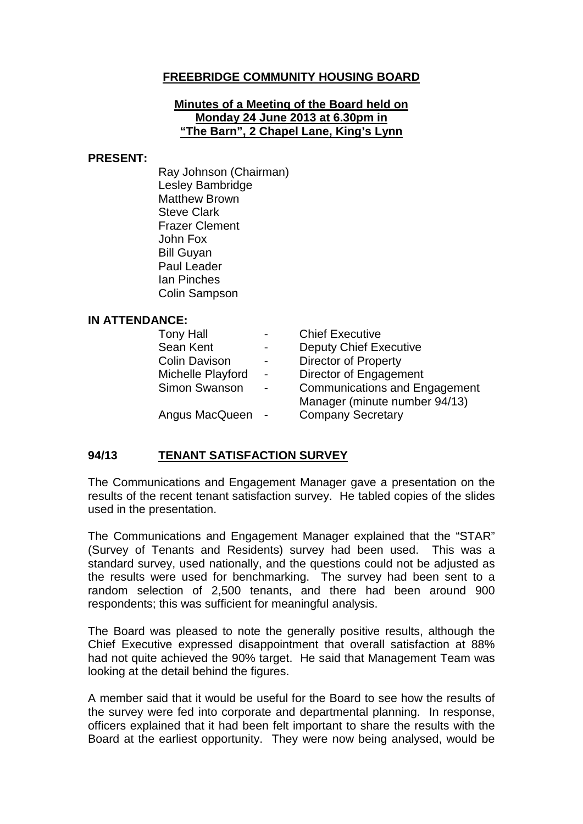## **FREEBRIDGE COMMUNITY HOUSING BOARD**

#### **Minutes of a Meeting of the Board held on Monday 24 June 2013 at 6.30pm in "The Barn", 2 Chapel Lane, King's Lynn**

#### **PRESENT:**

Ray Johnson (Chairman) Lesley Bambridge Matthew Brown Steve Clark Frazer Clement John Fox Bill Guyan Paul Leader Ian Pinches Colin Sampson

#### **IN ATTENDANCE:**

| $\overline{\phantom{0}}$ | <b>Chief Executive</b>               |
|--------------------------|--------------------------------------|
| $\overline{\phantom{0}}$ | <b>Deputy Chief Executive</b>        |
| $\overline{\phantom{0}}$ | <b>Director of Property</b>          |
| $\blacksquare$           | Director of Engagement               |
| $\blacksquare$           | <b>Communications and Engagement</b> |
|                          | Manager (minute number 94/13)        |
|                          | <b>Company Secretary</b>             |
|                          |                                      |

### **94/13 TENANT SATISFACTION SURVEY**

The Communications and Engagement Manager gave a presentation on the results of the recent tenant satisfaction survey. He tabled copies of the slides used in the presentation.

The Communications and Engagement Manager explained that the "STAR" (Survey of Tenants and Residents) survey had been used. This was a standard survey, used nationally, and the questions could not be adjusted as the results were used for benchmarking. The survey had been sent to a random selection of 2,500 tenants, and there had been around 900 respondents; this was sufficient for meaningful analysis.

The Board was pleased to note the generally positive results, although the Chief Executive expressed disappointment that overall satisfaction at 88% had not quite achieved the 90% target. He said that Management Team was looking at the detail behind the figures.

A member said that it would be useful for the Board to see how the results of the survey were fed into corporate and departmental planning. In response, officers explained that it had been felt important to share the results with the Board at the earliest opportunity. They were now being analysed, would be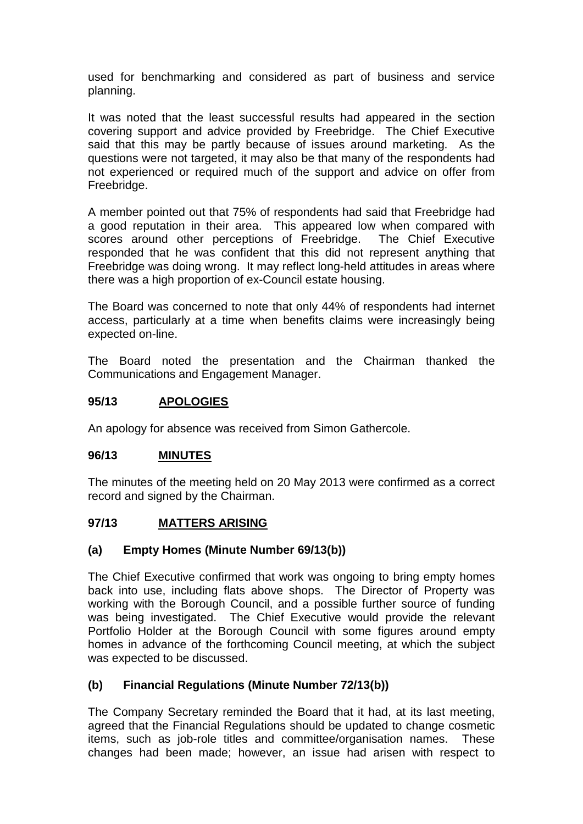used for benchmarking and considered as part of business and service planning.

It was noted that the least successful results had appeared in the section covering support and advice provided by Freebridge. The Chief Executive said that this may be partly because of issues around marketing. As the questions were not targeted, it may also be that many of the respondents had not experienced or required much of the support and advice on offer from Freebridge.

A member pointed out that 75% of respondents had said that Freebridge had a good reputation in their area. This appeared low when compared with scores around other perceptions of Freebridge. The Chief Executive responded that he was confident that this did not represent anything that Freebridge was doing wrong. It may reflect long-held attitudes in areas where there was a high proportion of ex-Council estate housing.

The Board was concerned to note that only 44% of respondents had internet access, particularly at a time when benefits claims were increasingly being expected on-line.

The Board noted the presentation and the Chairman thanked the Communications and Engagement Manager.

### **95/13 APOLOGIES**

An apology for absence was received from Simon Gathercole.

#### **96/13 MINUTES**

The minutes of the meeting held on 20 May 2013 were confirmed as a correct record and signed by the Chairman.

# **97/13 MATTERS ARISING**

#### **(a) Empty Homes (Minute Number 69/13(b))**

The Chief Executive confirmed that work was ongoing to bring empty homes back into use, including flats above shops. The Director of Property was working with the Borough Council, and a possible further source of funding was being investigated. The Chief Executive would provide the relevant Portfolio Holder at the Borough Council with some figures around empty homes in advance of the forthcoming Council meeting, at which the subject was expected to be discussed.

# **(b) Financial Regulations (Minute Number 72/13(b))**

The Company Secretary reminded the Board that it had, at its last meeting, agreed that the Financial Regulations should be updated to change cosmetic items, such as job-role titles and committee/organisation names. These changes had been made; however, an issue had arisen with respect to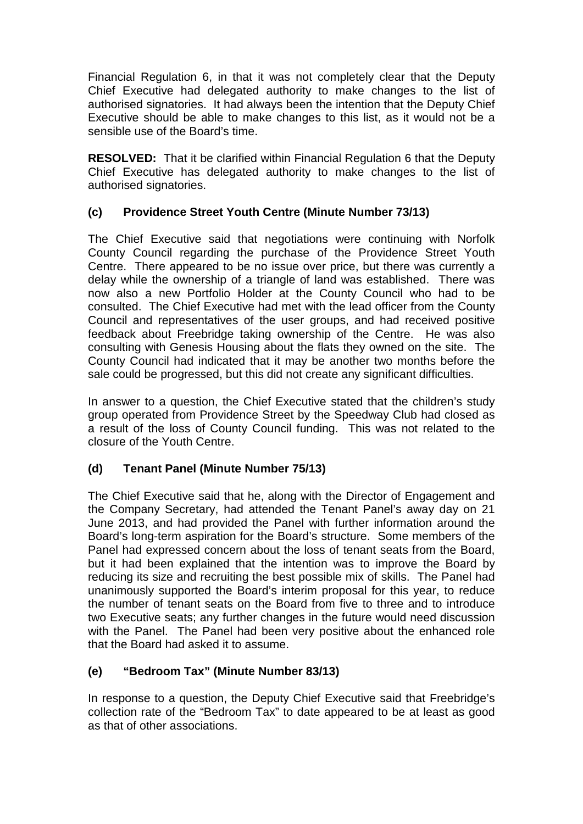Financial Regulation 6, in that it was not completely clear that the Deputy Chief Executive had delegated authority to make changes to the list of authorised signatories. It had always been the intention that the Deputy Chief Executive should be able to make changes to this list, as it would not be a sensible use of the Board's time.

**RESOLVED:** That it be clarified within Financial Regulation 6 that the Deputy Chief Executive has delegated authority to make changes to the list of authorised signatories.

# **(c) Providence Street Youth Centre (Minute Number 73/13)**

The Chief Executive said that negotiations were continuing with Norfolk County Council regarding the purchase of the Providence Street Youth Centre. There appeared to be no issue over price, but there was currently a delay while the ownership of a triangle of land was established. There was now also a new Portfolio Holder at the County Council who had to be consulted. The Chief Executive had met with the lead officer from the County Council and representatives of the user groups, and had received positive feedback about Freebridge taking ownership of the Centre. He was also consulting with Genesis Housing about the flats they owned on the site. The County Council had indicated that it may be another two months before the sale could be progressed, but this did not create any significant difficulties.

In answer to a question, the Chief Executive stated that the children's study group operated from Providence Street by the Speedway Club had closed as a result of the loss of County Council funding. This was not related to the closure of the Youth Centre.

# **(d) Tenant Panel (Minute Number 75/13)**

The Chief Executive said that he, along with the Director of Engagement and the Company Secretary, had attended the Tenant Panel's away day on 21 June 2013, and had provided the Panel with further information around the Board's long-term aspiration for the Board's structure. Some members of the Panel had expressed concern about the loss of tenant seats from the Board, but it had been explained that the intention was to improve the Board by reducing its size and recruiting the best possible mix of skills. The Panel had unanimously supported the Board's interim proposal for this year, to reduce the number of tenant seats on the Board from five to three and to introduce two Executive seats; any further changes in the future would need discussion with the Panel. The Panel had been very positive about the enhanced role that the Board had asked it to assume.

# **(e) "Bedroom Tax" (Minute Number 83/13)**

In response to a question, the Deputy Chief Executive said that Freebridge's collection rate of the "Bedroom Tax" to date appeared to be at least as good as that of other associations.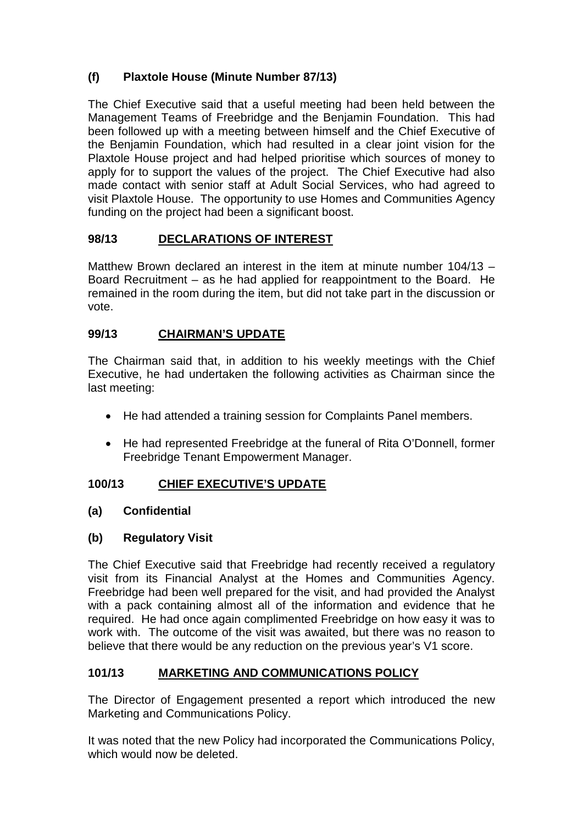# **(f) Plaxtole House (Minute Number 87/13)**

The Chief Executive said that a useful meeting had been held between the Management Teams of Freebridge and the Benjamin Foundation. This had been followed up with a meeting between himself and the Chief Executive of the Benjamin Foundation, which had resulted in a clear joint vision for the Plaxtole House project and had helped prioritise which sources of money to apply for to support the values of the project. The Chief Executive had also made contact with senior staff at Adult Social Services, who had agreed to visit Plaxtole House. The opportunity to use Homes and Communities Agency funding on the project had been a significant boost.

# **98/13 DECLARATIONS OF INTEREST**

Matthew Brown declared an interest in the item at minute number 104/13 – Board Recruitment – as he had applied for reappointment to the Board. He remained in the room during the item, but did not take part in the discussion or vote.

# **99/13 CHAIRMAN'S UPDATE**

The Chairman said that, in addition to his weekly meetings with the Chief Executive, he had undertaken the following activities as Chairman since the last meeting:

- He had attended a training session for Complaints Panel members.
- He had represented Freebridge at the funeral of Rita O'Donnell, former Freebridge Tenant Empowerment Manager.

# **100/13 CHIEF EXECUTIVE'S UPDATE**

# **(a) Confidential**

# **(b) Regulatory Visit**

The Chief Executive said that Freebridge had recently received a regulatory visit from its Financial Analyst at the Homes and Communities Agency. Freebridge had been well prepared for the visit, and had provided the Analyst with a pack containing almost all of the information and evidence that he required. He had once again complimented Freebridge on how easy it was to work with. The outcome of the visit was awaited, but there was no reason to believe that there would be any reduction on the previous year's V1 score.

# **101/13 MARKETING AND COMMUNICATIONS POLICY**

The Director of Engagement presented a report which introduced the new Marketing and Communications Policy.

It was noted that the new Policy had incorporated the Communications Policy, which would now be deleted.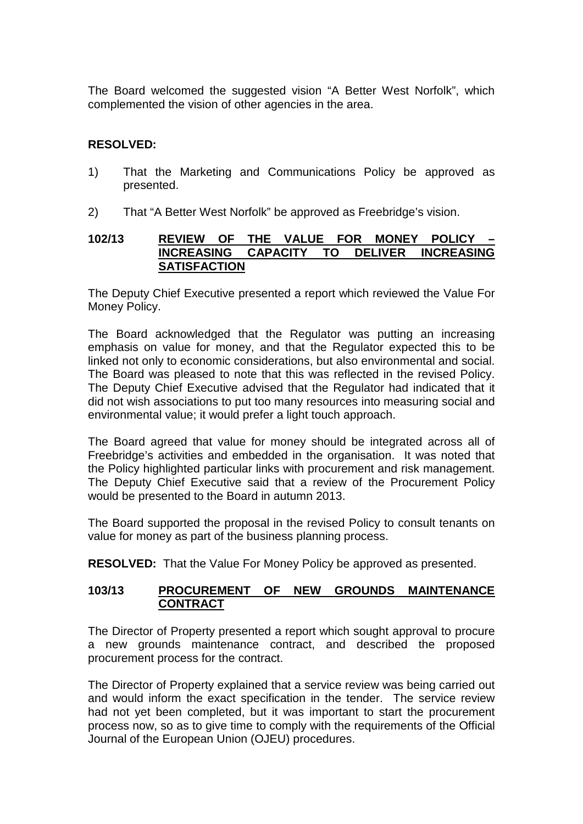The Board welcomed the suggested vision "A Better West Norfolk", which complemented the vision of other agencies in the area.

### **RESOLVED:**

- 1) That the Marketing and Communications Policy be approved as presented.
- 2) That "A Better West Norfolk" be approved as Freebridge's vision.

#### **102/13 REVIEW OF THE VALUE FOR MONEY POLICY – INCREASING SATISFACTION**

The Deputy Chief Executive presented a report which reviewed the Value For Money Policy.

The Board acknowledged that the Regulator was putting an increasing emphasis on value for money, and that the Regulator expected this to be linked not only to economic considerations, but also environmental and social. The Board was pleased to note that this was reflected in the revised Policy. The Deputy Chief Executive advised that the Regulator had indicated that it did not wish associations to put too many resources into measuring social and environmental value; it would prefer a light touch approach.

The Board agreed that value for money should be integrated across all of Freebridge's activities and embedded in the organisation. It was noted that the Policy highlighted particular links with procurement and risk management. The Deputy Chief Executive said that a review of the Procurement Policy would be presented to the Board in autumn 2013.

The Board supported the proposal in the revised Policy to consult tenants on value for money as part of the business planning process.

**RESOLVED:** That the Value For Money Policy be approved as presented.

### **103/13 PROCUREMENT OF NEW GROUNDS MAINTENANCE CONTRACT**

The Director of Property presented a report which sought approval to procure a new grounds maintenance contract, and described the proposed procurement process for the contract.

The Director of Property explained that a service review was being carried out and would inform the exact specification in the tender. The service review had not yet been completed, but it was important to start the procurement process now, so as to give time to comply with the requirements of the Official Journal of the European Union (OJEU) procedures.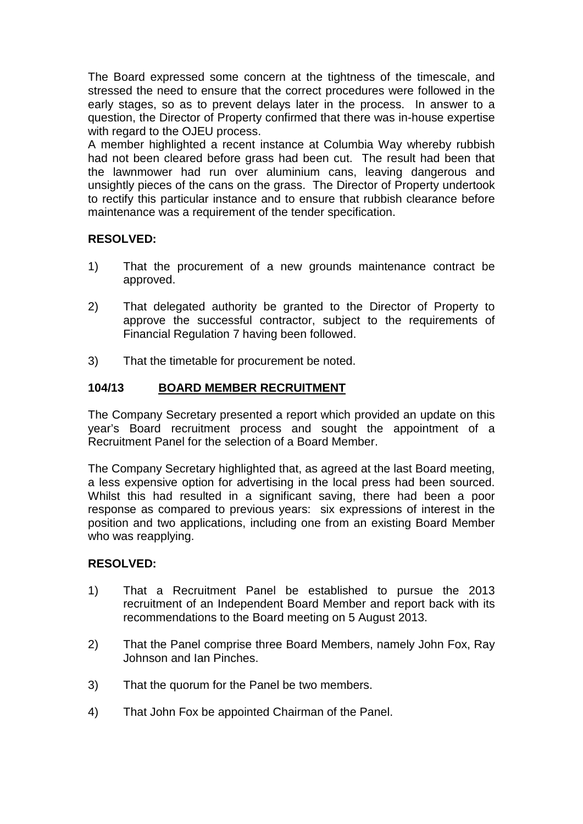The Board expressed some concern at the tightness of the timescale, and stressed the need to ensure that the correct procedures were followed in the early stages, so as to prevent delays later in the process. In answer to a question, the Director of Property confirmed that there was in-house expertise with regard to the OJEU process.

A member highlighted a recent instance at Columbia Way whereby rubbish had not been cleared before grass had been cut. The result had been that the lawnmower had run over aluminium cans, leaving dangerous and unsightly pieces of the cans on the grass. The Director of Property undertook to rectify this particular instance and to ensure that rubbish clearance before maintenance was a requirement of the tender specification.

# **RESOLVED:**

- 1) That the procurement of a new grounds maintenance contract be approved.
- 2) That delegated authority be granted to the Director of Property to approve the successful contractor, subject to the requirements of Financial Regulation 7 having been followed.
- 3) That the timetable for procurement be noted.

# **104/13 BOARD MEMBER RECRUITMENT**

The Company Secretary presented a report which provided an update on this year's Board recruitment process and sought the appointment of a Recruitment Panel for the selection of a Board Member.

The Company Secretary highlighted that, as agreed at the last Board meeting, a less expensive option for advertising in the local press had been sourced. Whilst this had resulted in a significant saving, there had been a poor response as compared to previous years: six expressions of interest in the position and two applications, including one from an existing Board Member who was reapplying.

#### **RESOLVED:**

- 1) That a Recruitment Panel be established to pursue the 2013 recruitment of an Independent Board Member and report back with its recommendations to the Board meeting on 5 August 2013.
- 2) That the Panel comprise three Board Members, namely John Fox, Ray Johnson and Ian Pinches.
- 3) That the quorum for the Panel be two members.
- 4) That John Fox be appointed Chairman of the Panel.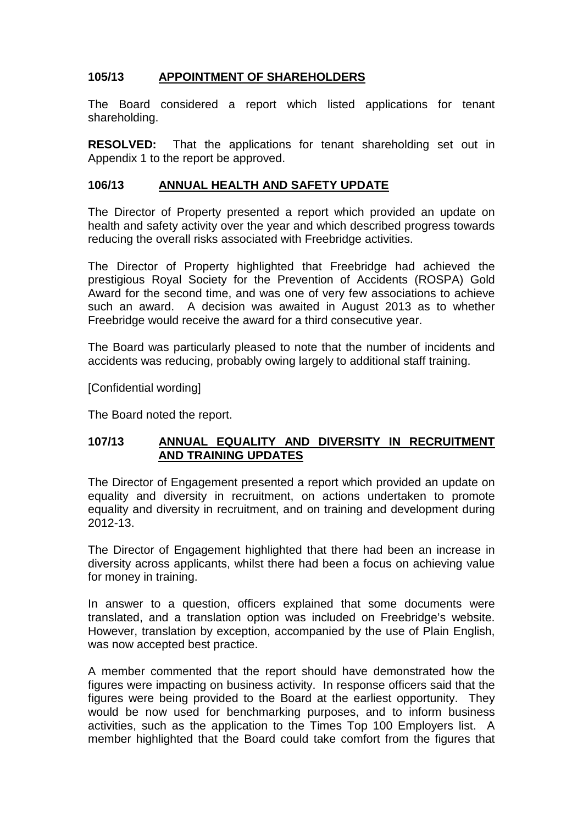# **105/13 APPOINTMENT OF SHAREHOLDERS**

The Board considered a report which listed applications for tenant shareholding.

**RESOLVED:** That the applications for tenant shareholding set out in Appendix 1 to the report be approved.

### **106/13 ANNUAL HEALTH AND SAFETY UPDATE**

The Director of Property presented a report which provided an update on health and safety activity over the year and which described progress towards reducing the overall risks associated with Freebridge activities.

The Director of Property highlighted that Freebridge had achieved the prestigious Royal Society for the Prevention of Accidents (ROSPA) Gold Award for the second time, and was one of very few associations to achieve such an award. A decision was awaited in August 2013 as to whether Freebridge would receive the award for a third consecutive year.

The Board was particularly pleased to note that the number of incidents and accidents was reducing, probably owing largely to additional staff training.

[Confidential wording]

The Board noted the report.

#### **107/13 ANNUAL EQUALITY AND DIVERSITY IN RECRUITMENT AND TRAINING UPDATES**

The Director of Engagement presented a report which provided an update on equality and diversity in recruitment, on actions undertaken to promote equality and diversity in recruitment, and on training and development during 2012-13.

The Director of Engagement highlighted that there had been an increase in diversity across applicants, whilst there had been a focus on achieving value for money in training.

In answer to a question, officers explained that some documents were translated, and a translation option was included on Freebridge's website. However, translation by exception, accompanied by the use of Plain English, was now accepted best practice.

A member commented that the report should have demonstrated how the figures were impacting on business activity. In response officers said that the figures were being provided to the Board at the earliest opportunity. They would be now used for benchmarking purposes, and to inform business activities, such as the application to the Times Top 100 Employers list. A member highlighted that the Board could take comfort from the figures that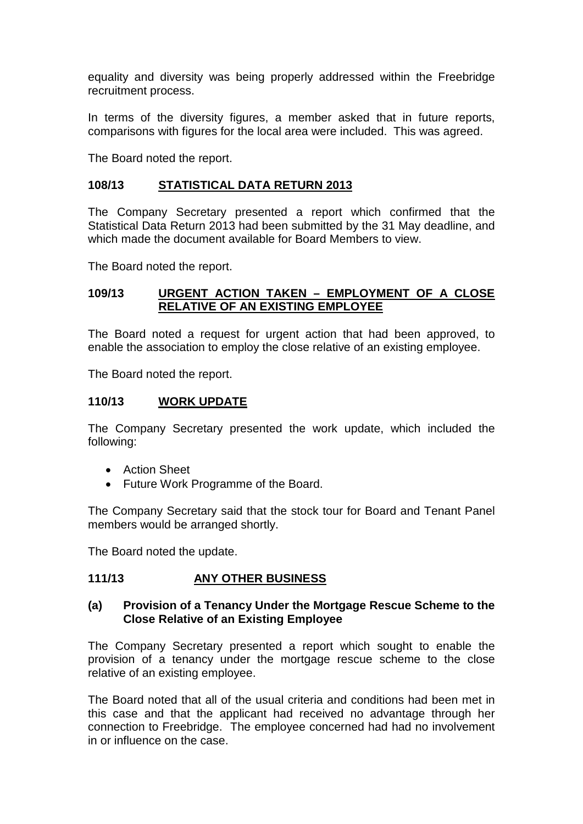equality and diversity was being properly addressed within the Freebridge recruitment process.

In terms of the diversity figures, a member asked that in future reports, comparisons with figures for the local area were included. This was agreed.

The Board noted the report.

#### **108/13 STATISTICAL DATA RETURN 2013**

The Company Secretary presented a report which confirmed that the Statistical Data Return 2013 had been submitted by the 31 May deadline, and which made the document available for Board Members to view.

The Board noted the report.

#### **109/13 URGENT ACTION TAKEN – EMPLOYMENT OF A CLOSE RELATIVE OF AN EXISTING EMPLOYEE**

The Board noted a request for urgent action that had been approved, to enable the association to employ the close relative of an existing employee.

The Board noted the report.

#### **110/13 WORK UPDATE**

The Company Secretary presented the work update, which included the following:

- Action Sheet
- Future Work Programme of the Board.

The Company Secretary said that the stock tour for Board and Tenant Panel members would be arranged shortly.

The Board noted the update.

#### **111/13 ANY OTHER BUSINESS**

#### **(a) Provision of a Tenancy Under the Mortgage Rescue Scheme to the Close Relative of an Existing Employee**

The Company Secretary presented a report which sought to enable the provision of a tenancy under the mortgage rescue scheme to the close relative of an existing employee.

The Board noted that all of the usual criteria and conditions had been met in this case and that the applicant had received no advantage through her connection to Freebridge. The employee concerned had had no involvement in or influence on the case.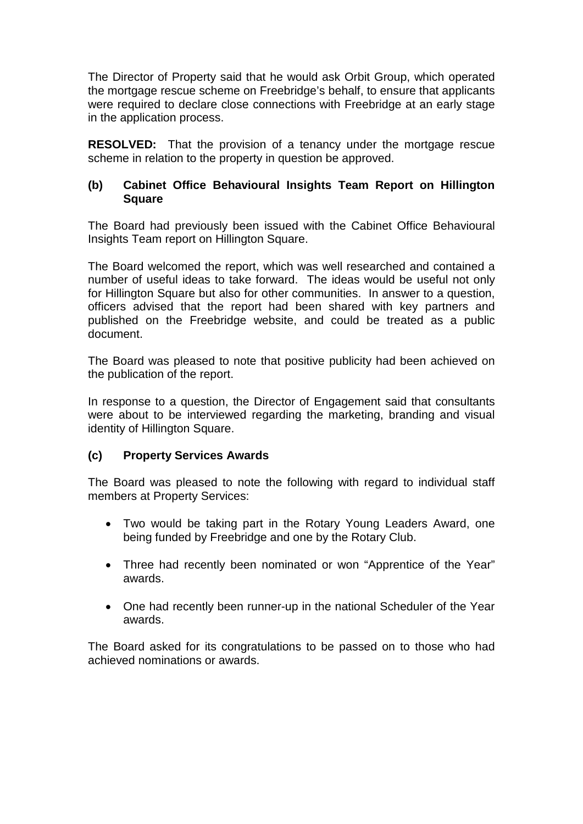The Director of Property said that he would ask Orbit Group, which operated the mortgage rescue scheme on Freebridge's behalf, to ensure that applicants were required to declare close connections with Freebridge at an early stage in the application process.

**RESOLVED:** That the provision of a tenancy under the mortgage rescue scheme in relation to the property in question be approved.

### **(b) Cabinet Office Behavioural Insights Team Report on Hillington Square**

The Board had previously been issued with the Cabinet Office Behavioural Insights Team report on Hillington Square.

The Board welcomed the report, which was well researched and contained a number of useful ideas to take forward. The ideas would be useful not only for Hillington Square but also for other communities. In answer to a question, officers advised that the report had been shared with key partners and published on the Freebridge website, and could be treated as a public document.

The Board was pleased to note that positive publicity had been achieved on the publication of the report.

In response to a question, the Director of Engagement said that consultants were about to be interviewed regarding the marketing, branding and visual identity of Hillington Square.

#### **(c) Property Services Awards**

The Board was pleased to note the following with regard to individual staff members at Property Services:

- Two would be taking part in the Rotary Young Leaders Award, one being funded by Freebridge and one by the Rotary Club.
- Three had recently been nominated or won "Apprentice of the Year" awards.
- One had recently been runner-up in the national Scheduler of the Year awards.

The Board asked for its congratulations to be passed on to those who had achieved nominations or awards.